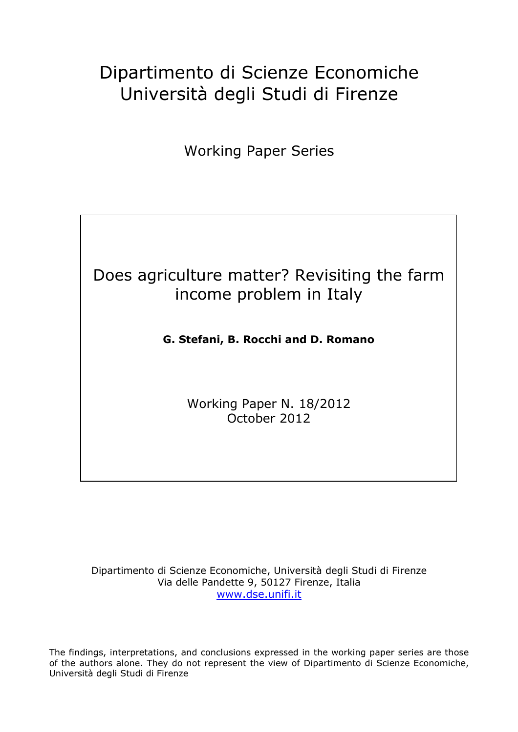# Dipartimento di Scienze Economiche Università degli Studi di Firenze

Working Paper Series

## Does agriculture matter? Revisiting the farm income problem in Italy

## **G. Stefani, B. Rocchi and D. Romano**

Working Paper N. 18/2012 October 2012

Dipartimento di Scienze Economiche, Università degli Studi di Firenze Via delle Pandette 9, 50127 Firenze, Italia www.dse.unifi.it

The findings, interpretations, and conclusions expressed in the working paper series are those of the authors alone. They do not represent the view of Dipartimento di Scienze Economiche, Università degli Studi di Firenze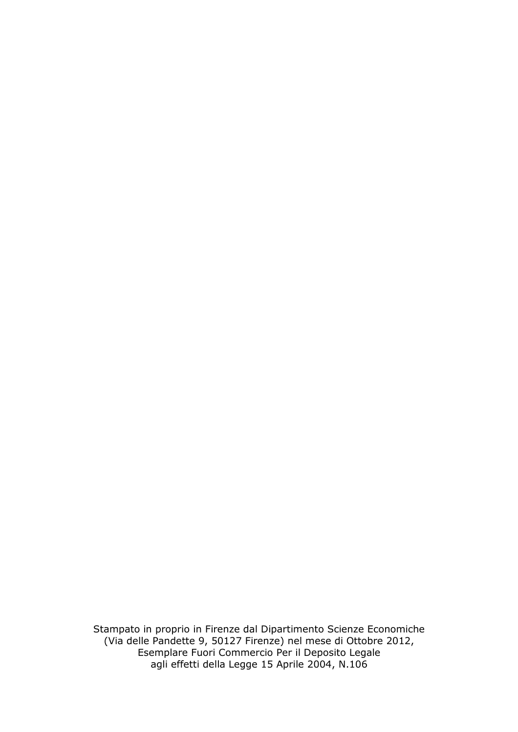Stampato in proprio in Firenze dal Dipartimento Scienze Economiche (Via delle Pandette 9, 50127 Firenze) nel mese di Ottobre 2012, Esemplare Fuori Commercio Per il Deposito Legale agli effetti della Legge 15 Aprile 2004, N.106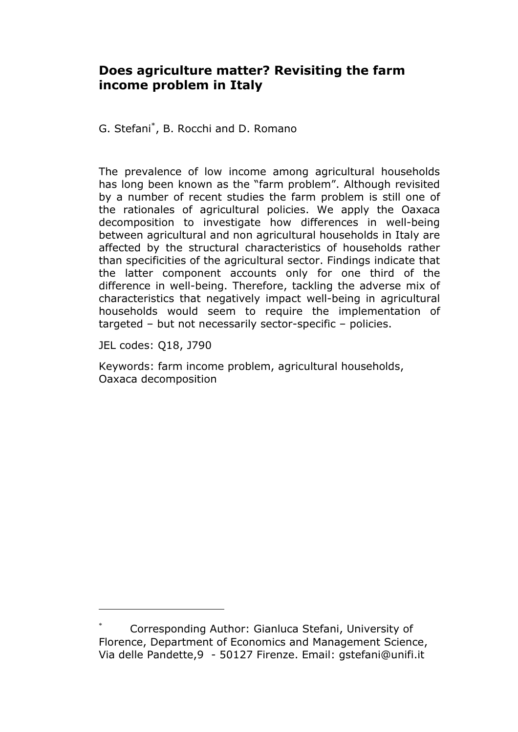### **Does agriculture matter? Revisiting the farm income problem in Italy**

G. Stefani\* , B. Rocchi and D. Romano

The prevalence of low income among agricultural households has long been known as the "farm problem". Although revisited by a number of recent studies the farm problem is still one of the rationales of agricultural policies. We apply the Oaxaca decomposition to investigate how differences in well-being between agricultural and non agricultural households in Italy are affected by the structural characteristics of households rather than specificities of the agricultural sector. Findings indicate that the latter component accounts only for one third of the difference in well-being. Therefore, tackling the adverse mix of characteristics that negatively impact well-being in agricultural households would seem to require the implementation of targeted – but not necessarily sector-specific – policies.

JEL codes: Q18, J790

 $\overline{a}$ 

Keywords: farm income problem, agricultural households, Oaxaca decomposition

Corresponding Author: Gianluca Stefani, University of Florence, Department of Economics and Management Science, Via delle Pandette,9 - 50127 Firenze. Email: gstefani@unifi.it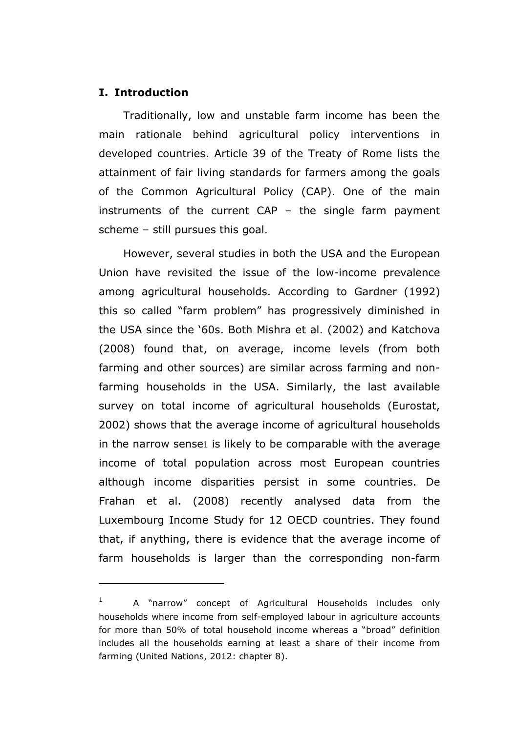#### **I. Introduction**

l

Traditionally, low and unstable farm income has been the main rationale behind agricultural policy interventions in developed countries. Article 39 of the Treaty of Rome lists the attainment of fair living standards for farmers among the goals of the Common Agricultural Policy (CAP). One of the main instruments of the current CAP – the single farm payment scheme – still pursues this goal.

However, several studies in both the USA and the European Union have revisited the issue of the low-income prevalence among agricultural households. According to Gardner (1992) this so called "farm problem" has progressively diminished in the USA since the '60s. Both Mishra et al. (2002) and Katchova (2008) found that, on average, income levels (from both farming and other sources) are similar across farming and nonfarming households in the USA. Similarly, the last available survey on total income of agricultural households (Eurostat, 2002) shows that the average income of agricultural households in the narrow sense1 is likely to be comparable with the average income of total population across most European countries although income disparities persist in some countries. De Frahan et al. (2008) recently analysed data from the Luxembourg Income Study for 12 OECD countries. They found that, if anything, there is evidence that the average income of farm households is larger than the corresponding non-farm

<sup>1</sup> A "narrow" concept of Agricultural Households includes only households where income from self-employed labour in agriculture accounts for more than 50% of total household income whereas a "broad" definition includes all the households earning at least a share of their income from farming (United Nations, 2012: chapter 8).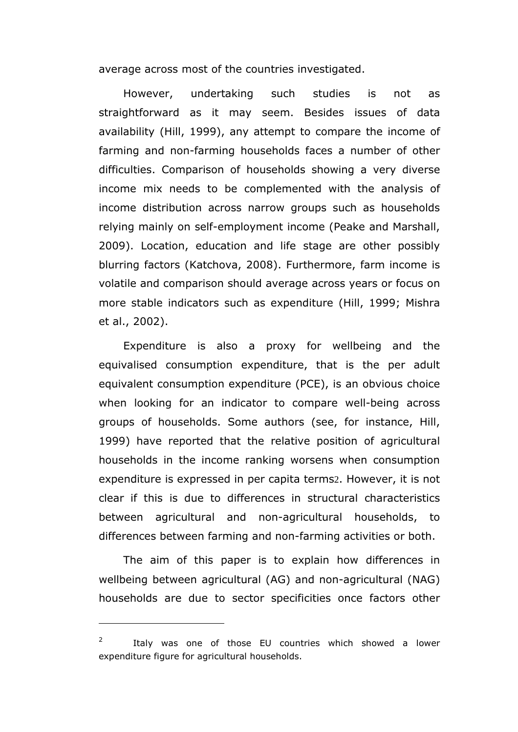average across most of the countries investigated.

However, undertaking such studies is not as straightforward as it may seem. Besides issues of data availability (Hill, 1999), any attempt to compare the income of farming and non-farming households faces a number of other difficulties. Comparison of households showing a very diverse income mix needs to be complemented with the analysis of income distribution across narrow groups such as households relying mainly on self-employment income (Peake and Marshall, 2009). Location, education and life stage are other possibly blurring factors (Katchova, 2008). Furthermore, farm income is volatile and comparison should average across years or focus on more stable indicators such as expenditure (Hill, 1999; Mishra et al., 2002).

Expenditure is also a proxy for wellbeing and the equivalised consumption expenditure, that is the per adult equivalent consumption expenditure (PCE), is an obvious choice when looking for an indicator to compare well-being across groups of households. Some authors (see, for instance, Hill, 1999) have reported that the relative position of agricultural households in the income ranking worsens when consumption expenditure is expressed in per capita terms2. However, it is not clear if this is due to differences in structural characteristics between agricultural and non-agricultural households, to differences between farming and non-farming activities or both.

The aim of this paper is to explain how differences in wellbeing between agricultural (AG) and non-agricultural (NAG) households are due to sector specificities once factors other

 $\overline{a}$ 

<sup>2</sup> Italy was one of those EU countries which showed a lower expenditure figure for agricultural households.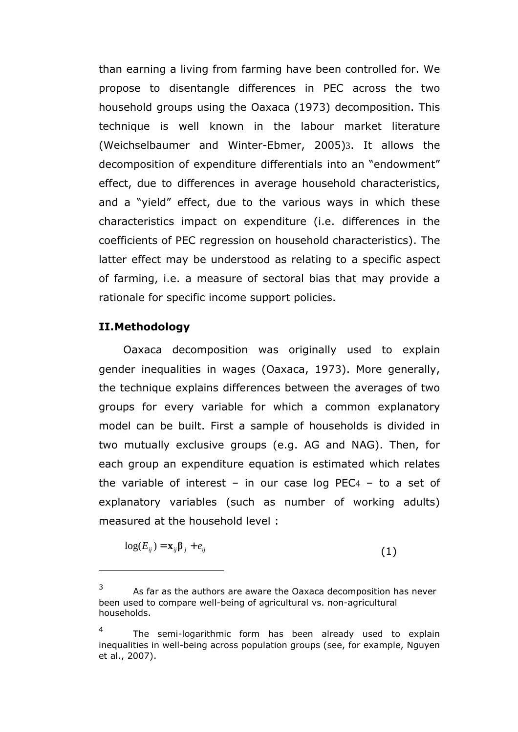than earning a living from farming have been controlled for. We propose to disentangle differences in PEC across the two household groups using the Oaxaca (1973) decomposition. This technique is well known in the labour market literature (Weichselbaumer and Winter-Ebmer, 2005)3. It allows the decomposition of expenditure differentials into an "endowment" effect, due to differences in average household characteristics, and a "yield" effect, due to the various ways in which these characteristics impact on expenditure (i.e. differences in the coefficients of PEC regression on household characteristics). The latter effect may be understood as relating to a specific aspect of farming, i.e. a measure of sectoral bias that may provide a rationale for specific income support policies.

#### **II.Methodology**

l

Oaxaca decomposition was originally used to explain gender inequalities in wages (Oaxaca, 1973). More generally, the technique explains differences between the averages of two groups for every variable for which a common explanatory model can be built. First a sample of households is divided in two mutually exclusive groups (e.g. AG and NAG). Then, for each group an expenditure equation is estimated which relates the variable of interest – in our case log PEC4 – to a set of explanatory variables (such as number of working adults) measured at the household level :

$$
\log(E_{ij}) = \mathbf{x}_{ij} \mathbf{\beta}_j + e_{ij} \tag{1}
$$

<sup>3</sup> As far as the authors are aware the Oaxaca decomposition has never been used to compare well-being of agricultural vs. non-agricultural households.

<sup>4</sup> The semi-logarithmic form has been already used to explain inequalities in well-being across population groups (see, for example, Nguyen et al., 2007).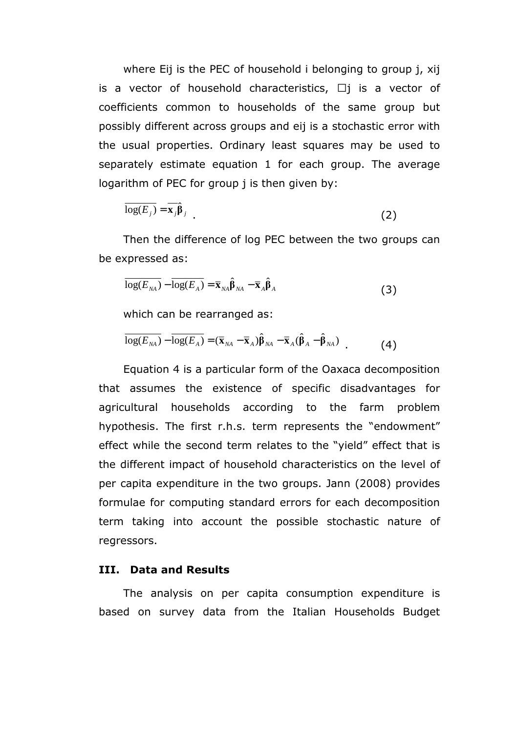where Eij is the PEC of household i belonging to group j, xij is a vector of household characteristics, Kj is a vector of coefficients common to households of the same group but possibly different across groups and eij is a stochastic error with the usual properties. Ordinary least squares may be used to separately estimate equation 1 for each group. The average logarithm of PEC for group j is then given by:

$$
\overline{\log(E_j)} = \overline{\mathbf{x}_j} \hat{\boldsymbol{\beta}}_j
$$
 (2)

Then the difference of log PEC between the two groups can be expressed as:

$$
\overline{\log(E_{NA})} - \overline{\log(E_A)} = \overline{\mathbf{x}}_{NA} \hat{\boldsymbol{\beta}}_{NA} - \overline{\mathbf{x}}_A \hat{\boldsymbol{\beta}}_A
$$
 (3)

which can be rearranged as:

$$
\overline{\log(E_{NA})} - \overline{\log(E_A)} = (\overline{\mathbf{x}}_{NA} - \overline{\mathbf{x}}_A)\hat{\boldsymbol{\beta}}_{NA} - \overline{\mathbf{x}}_A(\hat{\boldsymbol{\beta}}_A - \hat{\boldsymbol{\beta}}_{NA})
$$
(4)

Equation 4 is a particular form of the Oaxaca decomposition that assumes the existence of specific disadvantages for agricultural households according to the farm problem hypothesis. The first r.h.s. term represents the "endowment" effect while the second term relates to the "yield" effect that is the different impact of household characteristics on the level of per capita expenditure in the two groups. Jann (2008) provides formulae for computing standard errors for each decomposition term taking into account the possible stochastic nature of regressors.

#### **III. Data and Results**

The analysis on per capita consumption expenditure is based on survey data from the Italian Households Budget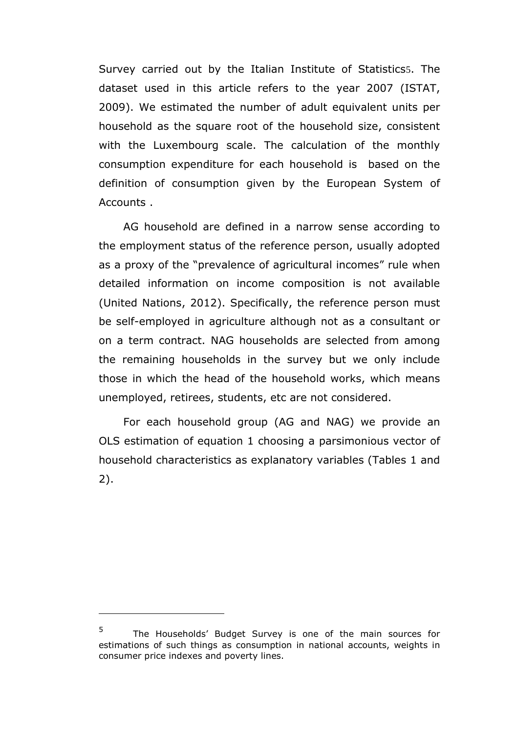Survey carried out by the Italian Institute of Statistics5. The dataset used in this article refers to the year 2007 (ISTAT, 2009). We estimated the number of adult equivalent units per household as the square root of the household size, consistent with the Luxembourg scale. The calculation of the monthly consumption expenditure for each household is based on the definition of consumption given by the European System of Accounts .

AG household are defined in a narrow sense according to the employment status of the reference person, usually adopted as a proxy of the "prevalence of agricultural incomes" rule when detailed information on income composition is not available (United Nations, 2012). Specifically, the reference person must be self-employed in agriculture although not as a consultant or on a term contract. NAG households are selected from among the remaining households in the survey but we only include those in which the head of the household works, which means unemployed, retirees, students, etc are not considered.

For each household group (AG and NAG) we provide an OLS estimation of equation 1 choosing a parsimonious vector of household characteristics as explanatory variables (Tables 1 and 2).

 $\overline{a}$ 

<sup>5</sup> The Households' Budget Survey is one of the main sources for estimations of such things as consumption in national accounts, weights in consumer price indexes and poverty lines.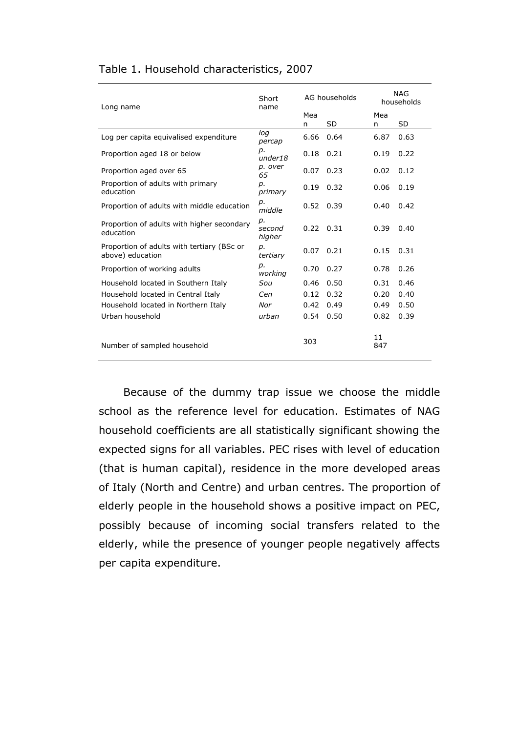|  | Table 1. Household characteristics, 2007 |
|--|------------------------------------------|
|--|------------------------------------------|

| Long name                                                      | Short<br>name          | AG households |      | <b>NAG</b><br>households |      |
|----------------------------------------------------------------|------------------------|---------------|------|--------------------------|------|
|                                                                |                        | Mea           |      | Mea                      |      |
|                                                                |                        | n             | SD   | n                        | SD   |
| Log per capita equivalised expenditure                         | log<br>percap          | 6.66          | 0.64 | 6.87                     | 0.63 |
| Proportion aged 18 or below                                    | p.<br>under18          | 0.18          | 0.21 | 0.19                     | 0.22 |
| Proportion aged over 65                                        | p. over<br>65          | 0.07          | 0.23 | 0.02                     | 0.12 |
| Proportion of adults with primary<br>education                 | p.<br>primary          | 0.19          | 0.32 | 0.06                     | 0.19 |
| Proportion of adults with middle education                     | p.<br>middle           | 0.52          | 0.39 | 0.40                     | 0.42 |
| Proportion of adults with higher secondary<br>education        | D.<br>second<br>higher | $0.22$ $0.31$ |      | 0.39                     | 0.40 |
| Proportion of adults with tertiary (BSc or<br>above) education | p.<br>tertiary         | 0.07          | 0.21 | 0.15                     | 0.31 |
| Proportion of working adults                                   | p.<br>working          | 0.70          | 0.27 | 0.78                     | 0.26 |
| Household located in Southern Italy                            | Sou                    | 0.46          | 0.50 | 0.31                     | 0.46 |
| Household located in Central Italy                             | Cen                    | 0.12          | 0.32 | 0.20                     | 0.40 |
| Household located in Northern Italy                            | Nor                    | 0.42          | 0.49 | 0.49                     | 0.50 |
| Urban household                                                | urban                  | 0.54          | 0.50 | 0.82                     | 0.39 |
| Number of sampled household                                    |                        | 303           |      | 11<br>847                |      |

Because of the dummy trap issue we choose the middle school as the reference level for education. Estimates of NAG household coefficients are all statistically significant showing the expected signs for all variables. PEC rises with level of education (that is human capital), residence in the more developed areas of Italy (North and Centre) and urban centres. The proportion of elderly people in the household shows a positive impact on PEC, possibly because of incoming social transfers related to the elderly, while the presence of younger people negatively affects per capita expenditure.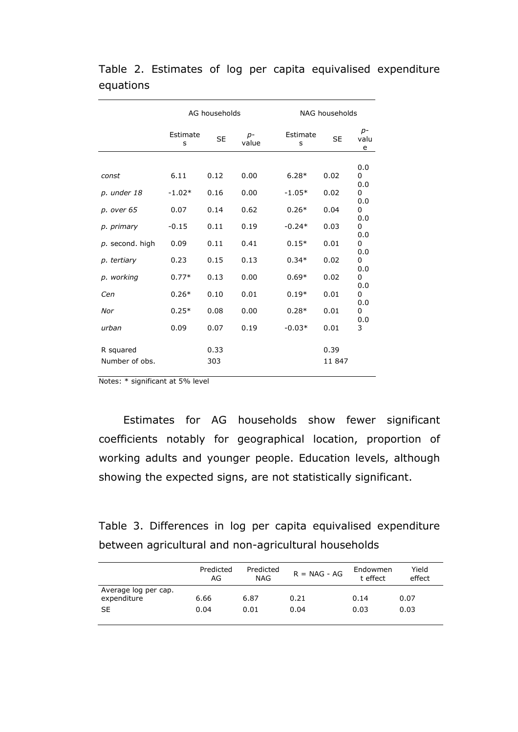|                                                                                                                           | AG households                                                                                |                                                                              |                                                                              | NAG households                                                                                                |                                                                              |                                                                                                                      |
|---------------------------------------------------------------------------------------------------------------------------|----------------------------------------------------------------------------------------------|------------------------------------------------------------------------------|------------------------------------------------------------------------------|---------------------------------------------------------------------------------------------------------------|------------------------------------------------------------------------------|----------------------------------------------------------------------------------------------------------------------|
|                                                                                                                           | Estimate<br>s                                                                                | <b>SE</b>                                                                    | $p-$<br>value                                                                | Estimate<br>s                                                                                                 | <b>SE</b>                                                                    | $p-$<br>valu<br>e                                                                                                    |
| const<br>p. under 18<br>p. over 65<br>p. primary<br>$p.$ second. high<br>p. tertiary<br>p. working<br>Cen<br>Nor<br>urban | 6.11<br>$-1.02*$<br>0.07<br>$-0.15$<br>0.09<br>0.23<br>$0.77*$<br>$0.26*$<br>$0.25*$<br>0.09 | 0.12<br>0.16<br>0.14<br>0.11<br>0.11<br>0.15<br>0.13<br>0.10<br>0.08<br>0.07 | 0.00<br>0.00<br>0.62<br>0.19<br>0.41<br>0.13<br>0.00<br>0.01<br>0.00<br>0.19 | $6.28*$<br>$-1.05*$<br>$0.26*$<br>$-0.24*$<br>$0.15*$<br>$0.34*$<br>$0.69*$<br>$0.19*$<br>$0.28*$<br>$-0.03*$ | 0.02<br>0.02<br>0.04<br>0.03<br>0.01<br>0.02<br>0.02<br>0.01<br>0.01<br>0.01 | 0.0<br>0<br>0.0<br>0<br>0.0<br>0<br>0.0<br>0<br>0.0<br>0<br>0.0<br>0<br>0.0<br>0<br>0.0<br>0<br>0.0<br>0<br>0.0<br>3 |
| R squared<br>Number of obs.                                                                                               |                                                                                              | 0.33<br>303                                                                  |                                                                              |                                                                                                               | 0.39<br>11 847                                                               |                                                                                                                      |

## Table 2. Estimates of log per capita equivalised expenditure equations

Notes: \* significant at 5% level

Estimates for AG households show fewer significant coefficients notably for geographical location, proportion of working adults and younger people. Education levels, although showing the expected signs, are not statistically significant.

Table 3. Differences in log per capita equivalised expenditure between agricultural and non-agricultural households

|                                                  | Predicted<br>AG | Predicted<br>NAG | $R = NAG - AG$ | Endowmen<br>t effect | Yield<br>effect |
|--------------------------------------------------|-----------------|------------------|----------------|----------------------|-----------------|
| Average log per cap.<br>expenditure<br><b>SE</b> | 6.66<br>0.04    | 6.87<br>0.01     | 0.21<br>0.04   | 0.14<br>0.03         | 0.07<br>0.03    |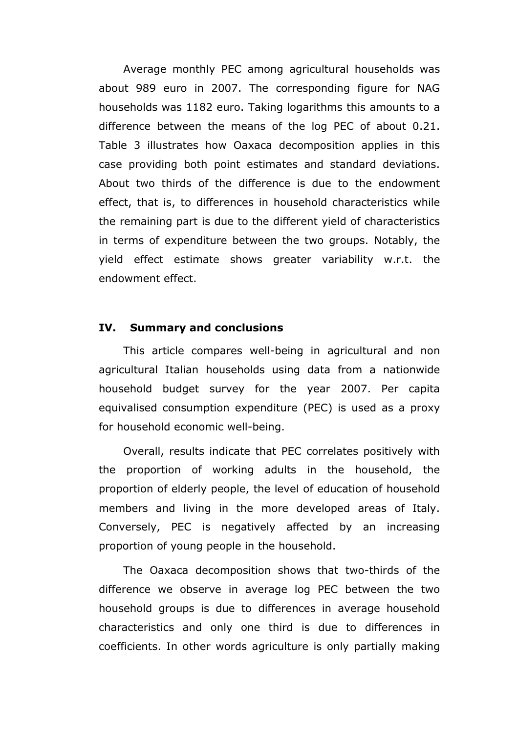Average monthly PEC among agricultural households was about 989 euro in 2007. The corresponding figure for NAG households was 1182 euro. Taking logarithms this amounts to a difference between the means of the log PEC of about 0.21. Table 3 illustrates how Oaxaca decomposition applies in this case providing both point estimates and standard deviations. About two thirds of the difference is due to the endowment effect, that is, to differences in household characteristics while the remaining part is due to the different yield of characteristics in terms of expenditure between the two groups. Notably, the yield effect estimate shows greater variability w.r.t. the endowment effect.

#### **IV. Summary and conclusions**

This article compares well-being in agricultural and non agricultural Italian households using data from a nationwide household budget survey for the year 2007. Per capita equivalised consumption expenditure (PEC) is used as a proxy for household economic well-being.

Overall, results indicate that PEC correlates positively with the proportion of working adults in the household, the proportion of elderly people, the level of education of household members and living in the more developed areas of Italy. Conversely, PEC is negatively affected by an increasing proportion of young people in the household.

The Oaxaca decomposition shows that two-thirds of the difference we observe in average log PEC between the two household groups is due to differences in average household characteristics and only one third is due to differences in coefficients. In other words agriculture is only partially making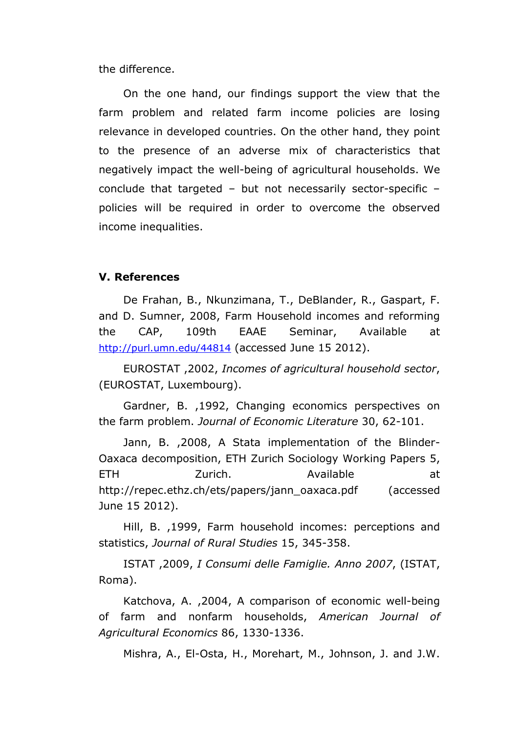the difference.

On the one hand, our findings support the view that the farm problem and related farm income policies are losing relevance in developed countries. On the other hand, they point to the presence of an adverse mix of characteristics that negatively impact the well-being of agricultural households. We conclude that targeted – but not necessarily sector-specific – policies will be required in order to overcome the observed income inequalities.

#### **V. References**

De Frahan, B., Nkunzimana, T., DeBlander, R., Gaspart, F. and D. Sumner, 2008, Farm Household incomes and reforming the CAP, 109th EAAE Seminar, Available at http://purl.umn.edu/44814 (accessed June 15 2012).

EUROSTAT ,2002, *Incomes of agricultural household sector*, (EUROSTAT, Luxembourg).

Gardner, B. ,1992, Changing economics perspectives on the farm problem. *Journal of Economic Literature* 30, 62-101.

Jann, B. ,2008, A Stata implementation of the Blinder-Oaxaca decomposition, ETH Zurich Sociology Working Papers 5, ETH Zurich. Available at http://repec.ethz.ch/ets/papers/jann\_oaxaca.pdf (accessed June 15 2012).

Hill, B. ,1999, Farm household incomes: perceptions and statistics, *Journal of Rural Studies* 15, 345-358.

ISTAT ,2009, *I Consumi delle Famiglie. Anno 2007*, (ISTAT, Roma).

Katchova, A. ,2004, A comparison of economic well-being of farm and nonfarm households, *American Journal of Agricultural Economics* 86, 1330-1336.

Mishra, A., El-Osta, H., Morehart, M., Johnson, J. and J.W.